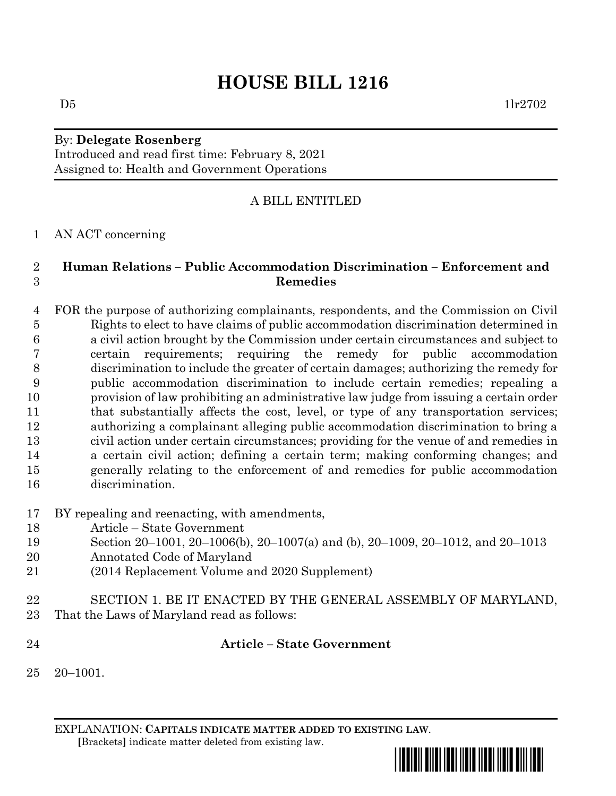# By: **Delegate Rosenberg** Introduced and read first time: February 8, 2021 Assigned to: Health and Government Operations

# A BILL ENTITLED

# AN ACT concerning

# **Human Relations – Public Accommodation Discrimination – Enforcement and Remedies**

- FOR the purpose of authorizing complainants, respondents, and the Commission on Civil Rights to elect to have claims of public accommodation discrimination determined in a civil action brought by the Commission under certain circumstances and subject to certain requirements; requiring the remedy for public accommodation discrimination to include the greater of certain damages; authorizing the remedy for public accommodation discrimination to include certain remedies; repealing a provision of law prohibiting an administrative law judge from issuing a certain order 11 that substantially affects the cost, level, or type of any transportation services; authorizing a complainant alleging public accommodation discrimination to bring a civil action under certain circumstances; providing for the venue of and remedies in a certain civil action; defining a certain term; making conforming changes; and generally relating to the enforcement of and remedies for public accommodation discrimination.
- BY repealing and reenacting, with amendments,
- Article State Government
- Section 20–1001, 20–1006(b), 20–1007(a) and (b), 20–1009, 20–1012, and 20–1013
- Annotated Code of Maryland
- (2014 Replacement Volume and 2020 Supplement)
- SECTION 1. BE IT ENACTED BY THE GENERAL ASSEMBLY OF MARYLAND, That the Laws of Maryland read as follows:
- 

# **Article – State Government**

20–1001.

EXPLANATION: **CAPITALS INDICATE MATTER ADDED TO EXISTING LAW**.  **[**Brackets**]** indicate matter deleted from existing law.

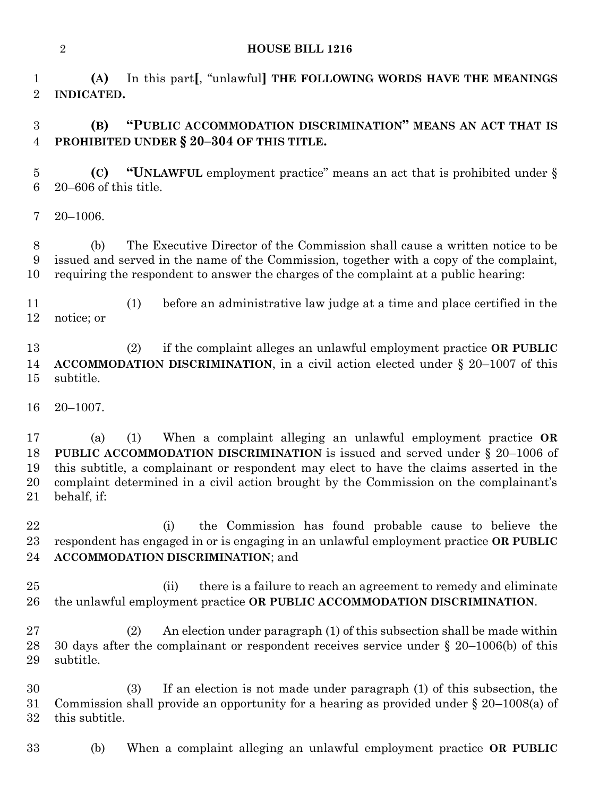**(A)** In this part**[**, "unlawful**] THE FOLLOWING WORDS HAVE THE MEANINGS INDICATED.**

# **(B) "PUBLIC ACCOMMODATION DISCRIMINATION" MEANS AN ACT THAT IS PROHIBITED UNDER § 20–304 OF THIS TITLE.**

 **(C) "UNLAWFUL** employment practice" means an act that is prohibited under § 20–606 of this title.

20–1006.

 (b) The Executive Director of the Commission shall cause a written notice to be issued and served in the name of the Commission, together with a copy of the complaint, requiring the respondent to answer the charges of the complaint at a public hearing:

 (1) before an administrative law judge at a time and place certified in the notice; or

 (2) if the complaint alleges an unlawful employment practice **OR PUBLIC ACCOMMODATION DISCRIMINATION**, in a civil action elected under § 20–1007 of this subtitle.

20–1007.

 (a) (1) When a complaint alleging an unlawful employment practice **OR PUBLIC ACCOMMODATION DISCRIMINATION** is issued and served under § 20–1006 of this subtitle, a complainant or respondent may elect to have the claims asserted in the complaint determined in a civil action brought by the Commission on the complainant's behalf, if:

 (i) the Commission has found probable cause to believe the respondent has engaged in or is engaging in an unlawful employment practice **OR PUBLIC ACCOMMODATION DISCRIMINATION**; and

 (ii) there is a failure to reach an agreement to remedy and eliminate the unlawful employment practice **OR PUBLIC ACCOMMODATION DISCRIMINATION**.

 (2) An election under paragraph (1) of this subsection shall be made within 30 days after the complainant or respondent receives service under § 20–1006(b) of this subtitle.

 (3) If an election is not made under paragraph (1) of this subsection, the Commission shall provide an opportunity for a hearing as provided under § 20–1008(a) of this subtitle.

(b) When a complaint alleging an unlawful employment practice **OR PUBLIC**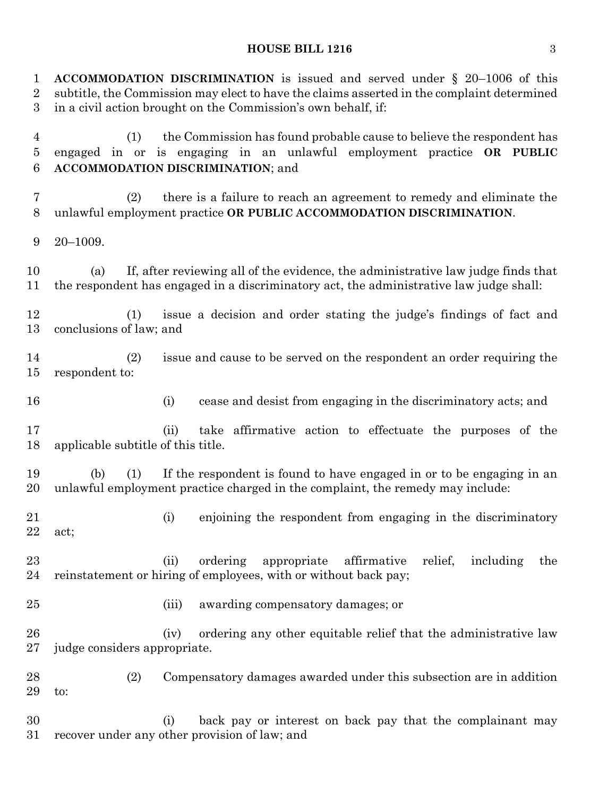# **HOUSE BILL 1216** 3

| $\mathbf{1}$<br>$\boldsymbol{2}$<br>3 | ACCOMMODATION DISCRIMINATION is issued and served under $\S$ 20-1006 of this<br>subtitle, the Commission may elect to have the claims asserted in the complaint determined<br>in a civil action brought on the Commission's own behalf, if: |
|---------------------------------------|---------------------------------------------------------------------------------------------------------------------------------------------------------------------------------------------------------------------------------------------|
| $\overline{4}$<br>$\overline{5}$<br>6 | the Commission has found probable cause to believe the respondent has<br>(1)<br>engaged in or is engaging in an unlawful employment practice OR PUBLIC<br><b>ACCOMMODATION DISCRIMINATION; and</b>                                          |
| $\overline{7}$<br>8                   | there is a failure to reach an agreement to remedy and eliminate the<br>(2)<br>unlawful employment practice OR PUBLIC ACCOMMODATION DISCRIMINATION.                                                                                         |
| 9                                     | $20 - 1009.$                                                                                                                                                                                                                                |
| 10<br>11                              | If, after reviewing all of the evidence, the administrative law judge finds that<br>(a)<br>the respondent has engaged in a discriminatory act, the administrative law judge shall:                                                          |
| 12<br>13                              | issue a decision and order stating the judge's findings of fact and<br>(1)<br>conclusions of law; and                                                                                                                                       |
| 14<br>15                              | issue and cause to be served on the respondent an order requiring the<br>(2)<br>respondent to:                                                                                                                                              |
| 16                                    | cease and desist from engaging in the discriminatory acts; and<br>(i)                                                                                                                                                                       |
| 17<br>18                              | take affirmative action to effectuate the purposes of the<br>(ii)<br>applicable subtitle of this title.                                                                                                                                     |
| 19<br>20                              | If the respondent is found to have engaged in or to be engaging in an<br>(b)<br>(1)<br>unlawful employment practice charged in the complaint, the remedy may include:                                                                       |
| 21<br>22                              | (i) enjoining the respondent from engaging in the discriminatory<br>act;                                                                                                                                                                    |
| 23<br>24                              | ordering<br>affirmative<br>relief,<br>including<br>(ii)<br>appropriate<br>the<br>reinstatement or hiring of employees, with or without back pay;                                                                                            |
| 25                                    | (iii)<br>awarding compensatory damages; or                                                                                                                                                                                                  |
| 26<br>27                              | ordering any other equitable relief that the administrative law<br>(iv)<br>judge considers appropriate.                                                                                                                                     |
| 28<br>29                              | (2)<br>Compensatory damages awarded under this subsection are in addition<br>to:                                                                                                                                                            |
| 30<br>31                              | back pay or interest on back pay that the complainant may<br>(i)<br>recover under any other provision of law; and                                                                                                                           |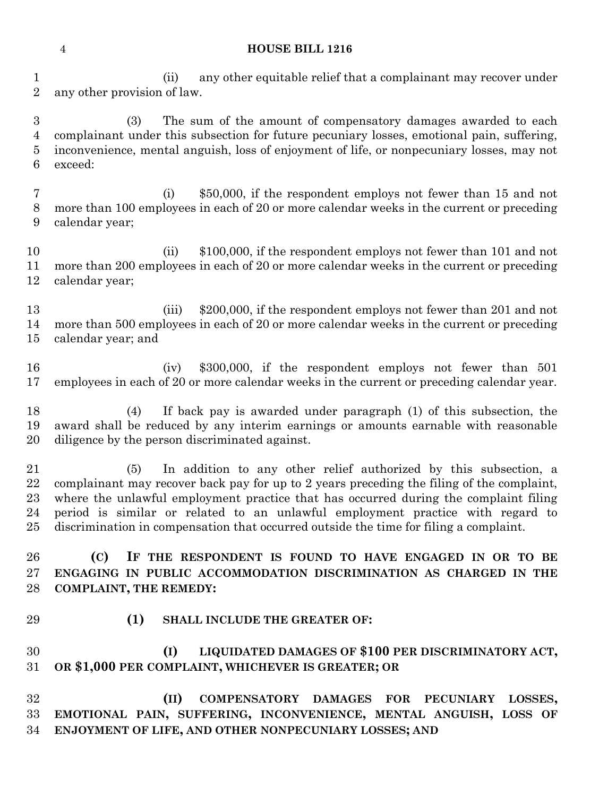(ii) any other equitable relief that a complainant may recover under any other provision of law.

 (3) The sum of the amount of compensatory damages awarded to each complainant under this subsection for future pecuniary losses, emotional pain, suffering, inconvenience, mental anguish, loss of enjoyment of life, or nonpecuniary losses, may not exceed:

 (i) \$50,000, if the respondent employs not fewer than 15 and not more than 100 employees in each of 20 or more calendar weeks in the current or preceding calendar year;

 (ii) \$100,000, if the respondent employs not fewer than 101 and not more than 200 employees in each of 20 or more calendar weeks in the current or preceding calendar year;

 (iii) \$200,000, if the respondent employs not fewer than 201 and not more than 500 employees in each of 20 or more calendar weeks in the current or preceding calendar year; and

 (iv) \$300,000, if the respondent employs not fewer than 501 employees in each of 20 or more calendar weeks in the current or preceding calendar year.

 (4) If back pay is awarded under paragraph (1) of this subsection, the award shall be reduced by any interim earnings or amounts earnable with reasonable diligence by the person discriminated against.

 (5) In addition to any other relief authorized by this subsection, a complainant may recover back pay for up to 2 years preceding the filing of the complaint, where the unlawful employment practice that has occurred during the complaint filing period is similar or related to an unlawful employment practice with regard to discrimination in compensation that occurred outside the time for filing a complaint.

 **(C) IF THE RESPONDENT IS FOUND TO HAVE ENGAGED IN OR TO BE ENGAGING IN PUBLIC ACCOMMODATION DISCRIMINATION AS CHARGED IN THE COMPLAINT, THE REMEDY:**

**(1) SHALL INCLUDE THE GREATER OF:**

 **(I) LIQUIDATED DAMAGES OF \$100 PER DISCRIMINATORY ACT, OR \$1,000 PER COMPLAINT, WHICHEVER IS GREATER; OR**

 **(II) COMPENSATORY DAMAGES FOR PECUNIARY LOSSES, EMOTIONAL PAIN, SUFFERING, INCONVENIENCE, MENTAL ANGUISH, LOSS OF ENJOYMENT OF LIFE, AND OTHER NONPECUNIARY LOSSES; AND**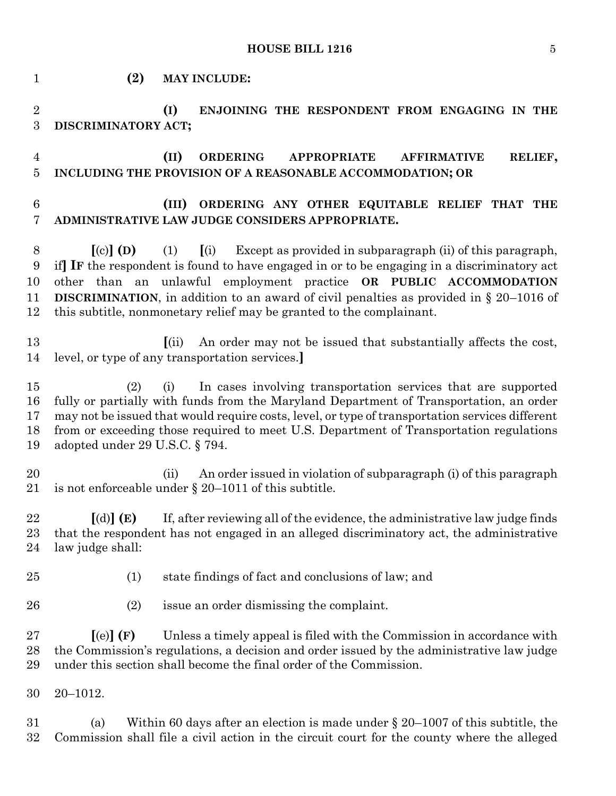**HOUSE BILL 1216** 5

 **(2) MAY INCLUDE: (I) ENJOINING THE RESPONDENT FROM ENGAGING IN THE DISCRIMINATORY ACT; (II) ORDERING APPROPRIATE AFFIRMATIVE RELIEF, INCLUDING THE PROVISION OF A REASONABLE ACCOMMODATION; OR (III) ORDERING ANY OTHER EQUITABLE RELIEF THAT THE ADMINISTRATIVE LAW JUDGE CONSIDERS APPROPRIATE. [**(c)**] (D)** (1) **[**(i) Except as provided in subparagraph (ii) of this paragraph, if**] IF** the respondent is found to have engaged in or to be engaging in a discriminatory act other than an unlawful employment practice **OR PUBLIC ACCOMMODATION DISCRIMINATION**, in addition to an award of civil penalties as provided in § 20–1016 of this subtitle, nonmonetary relief may be granted to the complainant. **[**(ii) An order may not be issued that substantially affects the cost, level, or type of any transportation services.**]** (2) (i) In cases involving transportation services that are supported fully or partially with funds from the Maryland Department of Transportation, an order may not be issued that would require costs, level, or type of transportation services different from or exceeding those required to meet U.S. Department of Transportation regulations adopted under 29 U.S.C. § 794. (ii) An order issued in violation of subparagraph (i) of this paragraph is not enforceable under § 20–1011 of this subtitle. **[**(d)**] (E)** If, after reviewing all of the evidence, the administrative law judge finds that the respondent has not engaged in an alleged discriminatory act, the administrative law judge shall: (1) state findings of fact and conclusions of law; and (2) issue an order dismissing the complaint. **[**(e)**] (F)** Unless a timely appeal is filed with the Commission in accordance with the Commission's regulations, a decision and order issued by the administrative law judge under this section shall become the final order of the Commission. 20–1012.

 (a) Within 60 days after an election is made under § 20–1007 of this subtitle, the Commission shall file a civil action in the circuit court for the county where the alleged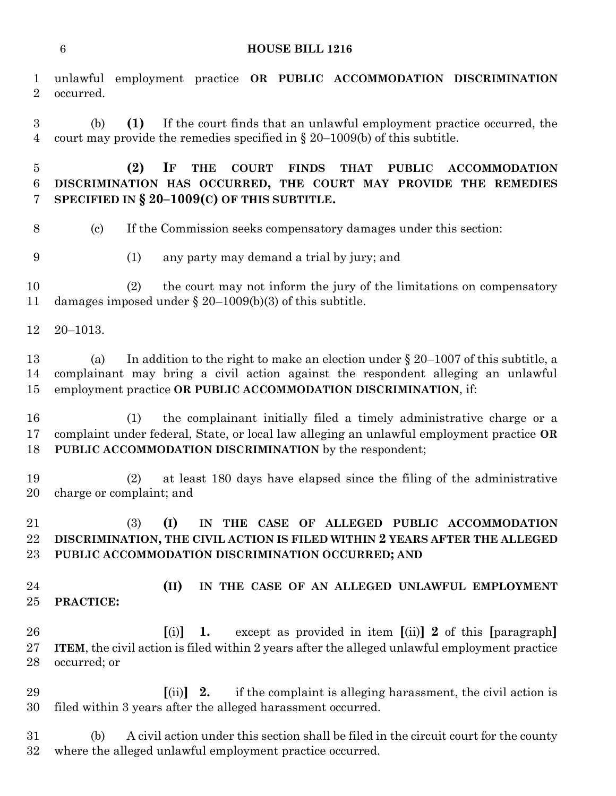| $\mathbf 1$<br>$\overline{2}$          | unlawful employment practice OR PUBLIC ACCOMMODATION DISCRIMINATION<br>occurred.                                                                                                                                                                  |
|----------------------------------------|---------------------------------------------------------------------------------------------------------------------------------------------------------------------------------------------------------------------------------------------------|
| $\boldsymbol{3}$<br>$\overline{4}$     | (1)<br>If the court finds that an unlawful employment practice occurred, the<br>(b)<br>court may provide the remedies specified in $\S 20-1009(b)$ of this subtitle.                                                                              |
| $\overline{5}$<br>$6\phantom{.}6$<br>7 | (2)<br>IF<br><b>COURT</b><br><b>FINDS</b><br><b>THAT</b><br><b>PUBLIC</b><br><b>THE</b><br><b>ACCOMMODATION</b><br>DISCRIMINATION HAS OCCURRED, THE COURT MAY PROVIDE THE REMEDIES<br>SPECIFIED IN $\S 20-1009(C)$ OF THIS SUBTITLE.              |
| $8\,$                                  | $\left( \text{c}\right)$<br>If the Commission seeks compensatory damages under this section:                                                                                                                                                      |
| 9                                      | (1)<br>any party may demand a trial by jury; and                                                                                                                                                                                                  |
| 10<br>11                               | the court may not inform the jury of the limitations on compensatory<br>(2)<br>damages imposed under $\S 20-1009(b)(3)$ of this subtitle.                                                                                                         |
| 12                                     | $20 - 1013.$                                                                                                                                                                                                                                      |
| 13<br>14<br>15                         | In addition to the right to make an election under $\S 20-1007$ of this subtitle, a<br>(a)<br>complainant may bring a civil action against the respondent alleging an unlawful<br>employment practice OR PUBLIC ACCOMMODATION DISCRIMINATION, if: |
| 16<br>17<br>18                         | the complainant initially filed a timely administrative charge or a<br>(1)<br>complaint under federal, State, or local law alleging an unlawful employment practice OR<br>PUBLIC ACCOMMODATION DISCRIMINATION by the respondent;                  |
| 19<br>20                               | at least 180 days have elapsed since the filing of the administrative<br>(2)<br>charge or complaint; and                                                                                                                                          |
| 21<br>22<br>23                         | (I)<br>(3)<br>IN THE CASE OF ALLEGED PUBLIC ACCOMMODATION<br>DISCRIMINATION, THE CIVIL ACTION IS FILED WITHIN 2 YEARS AFTER THE ALLEGED<br>PUBLIC ACCOMMODATION DISCRIMINATION OCCURRED; AND                                                      |
| 24<br>25                               | (II)<br>IN THE CASE OF AN ALLEGED UNLAWFUL EMPLOYMENT<br>PRACTICE:                                                                                                                                                                                |
| 26<br>27<br>28                         | except as provided in item $[(ii)]$ 2 of this $[paragnb]$<br>[(i)]<br>1.<br>ITEM, the civil action is filed within 2 years after the alleged unlawful employment practice<br>occurred; or                                                         |
| 29<br>30                               | if the complaint is alleging harassment, the civil action is<br>$\left[ \text{(ii)} \right]$ 2.<br>filed within 3 years after the alleged harassment occurred.                                                                                    |
| 31<br>32                               | A civil action under this section shall be filed in the circuit court for the county<br>(b)<br>where the alleged unlawful employment practice occurred.                                                                                           |